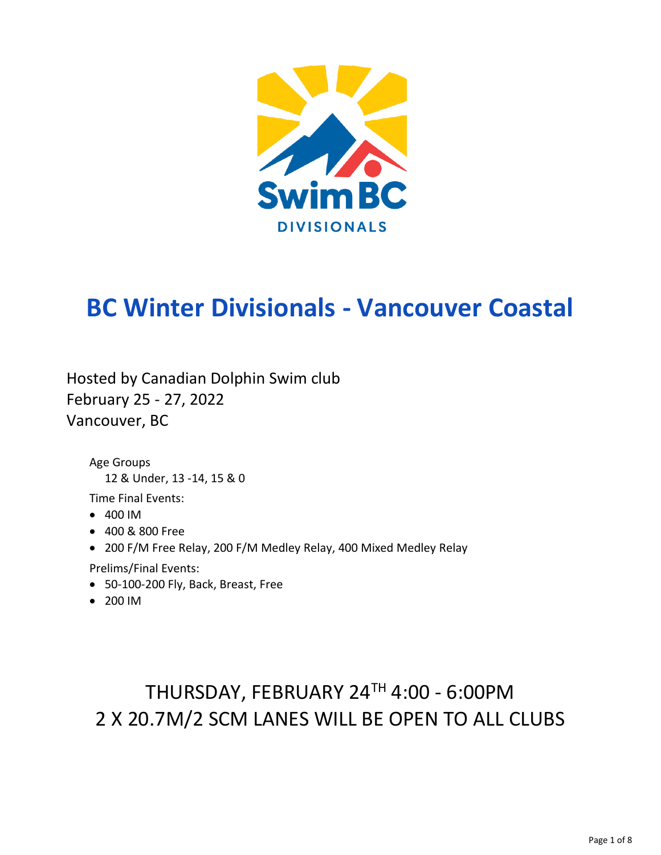

# **BC Winter Divisionals - Vancouver Coastal**

Hosted by Canadian Dolphin Swim club February 25 - 27, 2022 Vancouver, BC

Age Groups 12 & Under, 13 -14, 15 & 0

Time Final Events:

- 400 IM
- 400 & 800 Free
- 200 F/M Free Relay, 200 F/M Medley Relay, 400 Mixed Medley Relay

Prelims/Final Events:

- 50-100-200 Fly, Back, Breast, Free
- 200 IM

# THURSDAY, FEBRUARY 24TH 4:00 - 6:00PM 2 X 20.7M/2 SCM LANES WILL BE OPEN TO ALL CLUBS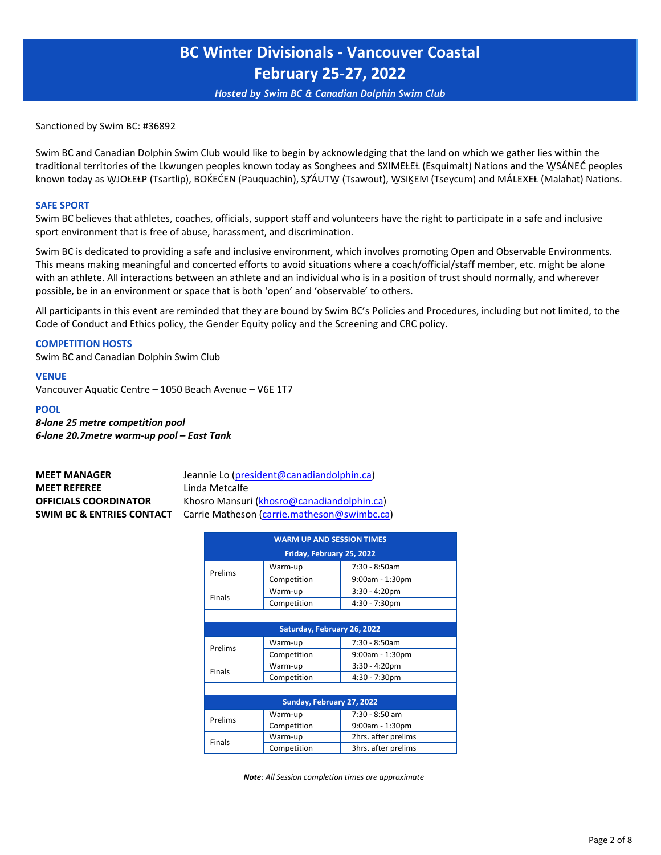*Hosted by Swim BC & Canadian Dolphin Swim Club*

Sanctioned by Swim BC: #36892

Swim BC and Canadian Dolphin Swim Club would like to begin by acknowledging that the land on which we gather lies within the traditional territories of the Lkwungen peoples known today as Songhees and SXIMEŁEŁ (Esquimalt) Nations and the WSÁNEĆ peoples known today as WJOŁEŁP (Tsartlip), BOKEĆEN (Pauquachin), STÁUTW (Tsawout), WSIĶEM (Tseycum) and MÁLEXEŁ (Malahat) Nations.

#### **SAFE SPORT**

Swim BC believes that athletes, coaches, officials, support staff and volunteers have the right to participate in a safe and inclusive sport environment that is free of abuse, harassment, and discrimination.

Swim BC is dedicated to providing a safe and inclusive environment, which involves promoting Open and Observable Environments. This means making meaningful and concerted efforts to avoid situations where a coach/official/staff member, etc. might be alone with an athlete. All interactions between an athlete and an individual who is in a position of trust should normally, and wherever possible, be in an environment or space that is both 'open' and 'observable' to others.

All participants in this event are reminded that they are bound by Swim BC's Policies and Procedures, including but not limited, to the Code of Conduct and Ethics policy, the Gender Equity policy and the Screening and CRC policy.

#### **COMPETITION HOSTS**

Swim BC and Canadian Dolphin Swim Club

#### **VENUE**

Vancouver Aquatic Centre – 1050 Beach Avenue – V6E 1T7

#### **POOL**

*8-lane 25 metre competition pool 6-lane 20.7metre warm-up pool – East Tank*

| <b>MEET MANAGER</b>                  | Jeannie Lo (president@canadiandolphin.ca)   |
|--------------------------------------|---------------------------------------------|
| <b>MEET REFEREE</b>                  | Linda Metcalfe                              |
| <b>OFFICIALS COORDINATOR</b>         | Khosro Mansuri (khosro@canadiandolphin.ca)  |
| <b>SWIM BC &amp; ENTRIES CONTACT</b> | Carrie Matheson (carrie.matheson@swimbc.ca) |

| <b>WARM UP AND SESSION TIMES</b> |                             |                     |  |  |  |  |  |  |
|----------------------------------|-----------------------------|---------------------|--|--|--|--|--|--|
| Friday, February 25, 2022        |                             |                     |  |  |  |  |  |  |
| Prelims                          | Warm-up                     | 7:30 - 8:50am       |  |  |  |  |  |  |
|                                  | Competition                 | $9:00$ am - 1:30pm  |  |  |  |  |  |  |
| <b>Finals</b>                    | Warm-up                     | $3:30 - 4:20$ pm    |  |  |  |  |  |  |
|                                  | Competition                 | $4:30 - 7:30$ pm    |  |  |  |  |  |  |
|                                  |                             |                     |  |  |  |  |  |  |
|                                  | Saturday, February 26, 2022 |                     |  |  |  |  |  |  |
| Prelims                          | Warm-up                     | 7:30 - 8:50am       |  |  |  |  |  |  |
|                                  | Competition                 | $9:00$ am - 1:30pm  |  |  |  |  |  |  |
| <b>Finals</b>                    | Warm-up                     | $3:30 - 4:20$ pm    |  |  |  |  |  |  |
|                                  | Competition                 | 4:30 - 7:30pm       |  |  |  |  |  |  |
|                                  |                             |                     |  |  |  |  |  |  |
|                                  | Sunday, February 27, 2022   |                     |  |  |  |  |  |  |
| Prelims                          | Warm-up                     | 7:30 - 8:50 am      |  |  |  |  |  |  |
|                                  | Competition                 | $9:00$ am - 1:30pm  |  |  |  |  |  |  |
| <b>Finals</b>                    | Warm-up                     | 2hrs. after prelims |  |  |  |  |  |  |
|                                  | Competition                 | 3hrs. after prelims |  |  |  |  |  |  |

*Note: All Session completion times are approximate*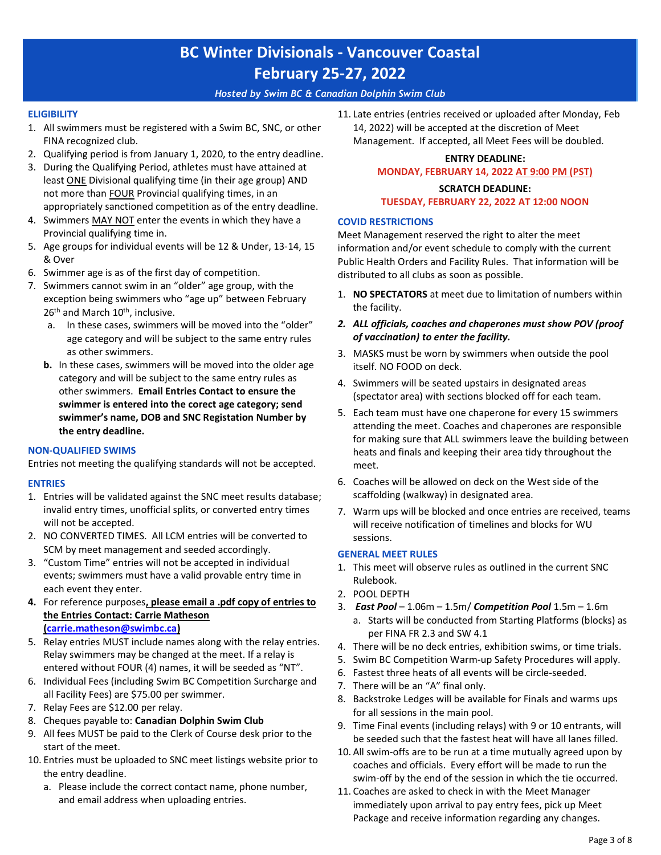#### *Hosted by Swim BC & Canadian Dolphin Swim Club*

#### **ELIGIBILITY**

- 1. All swimmers must be registered with a Swim BC, SNC, or other FINA recognized club.
- 2. Qualifying period is from January 1, 2020, to the entry deadline.
- 3. During the Qualifying Period, athletes must have attained at least ONE Divisional qualifying time (in their age group) AND not more than FOUR Provincial qualifying times, in an appropriately sanctioned competition as of the entry deadline.
- 4. Swimmers MAY NOT enter the events in which they have a Provincial qualifying time in.
- 5. Age groups for individual events will be 12 & Under, 13-14, 15 & Over
- 6. Swimmer age is as of the first day of competition.
- 7. Swimmers cannot swim in an "older" age group, with the exception being swimmers who "age up" between February 26<sup>th</sup> and March 10<sup>th</sup>, inclusive.
	- a. In these cases, swimmers will be moved into the "older" age category and will be subject to the same entry rules as other swimmers.
	- **b.** In these cases, swimmers will be moved into the older age category and will be subject to the same entry rules as other swimmers. **Email Entries Contact to ensure the swimmer is entered into the corect age category; send swimmer's name, DOB and SNC Registation Number by the entry deadline.**

#### **NON-QUALIFIED SWIMS**

Entries not meeting the qualifying standards will not be accepted.

#### **ENTRIES**

- 1. Entries will be validated against the SNC meet results database; invalid entry times, unofficial splits, or converted entry times will not be accepted.
- 2. NO CONVERTED TIMES. All LCM entries will be converted to SCM by meet management and seeded accordingly.
- 3. "Custom Time" entries will not be accepted in individual events; swimmers must have a valid provable entry time in each event they enter.
- **4.** For reference purposes**, please email a .pdf copy of entries to the Entries Contact: Carrie Matheson [\(carrie.matheson@swimbc.ca\)](mailto:carrie.matheson@swimbc.ca)**
- 5. [Relay entries](mailto:carrie.matheson@swimbc.ca) MUST include names along with the relay entries. Relay swimmers may be changed at the meet. If a relay is entered without FOUR (4) names, it will be seeded as "NT".
- 6. Individual Fees (including Swim BC Competition Surcharge and all Facility Fees) are \$75.00 per swimmer.
- 7. Relay Fees are \$12.00 per relay.
- 8. Cheques payable to: **Canadian Dolphin Swim Club**
- 9. All fees MUST be paid to the Clerk of Course desk prior to the start of the meet.
- 10. Entries must be uploaded to SNC meet listings website prior to the entry deadline.
	- a. Please include the correct contact name, phone number, and email address when uploading entries.

11. Late entries (entries received or uploaded after Monday, Feb 14, 2022) will be accepted at the discretion of Meet Management. If accepted, all Meet Fees will be doubled.

#### **ENTRY DEADLINE: MONDAY, FEBRUARY 14, 2022 AT 9:00 PM (PST)**

#### **SCRATCH DEADLINE:**

#### **TUESDAY, FEBRUARY 22, 2022 AT 12:00 NOON**

#### **COVID RESTRICTIONS**

Meet Management reserved the right to alter the meet information and/or event schedule to comply with the current Public Health Orders and Facility Rules. That information will be distributed to all clubs as soon as possible.

- 1. **NO SPECTATORS** at meet due to limitation of numbers within the facility.
- *2. ALL officials, coaches and chaperones must show POV (proof of vaccination) to enter the facility.*
- 3. MASKS must be worn by swimmers when outside the pool itself. NO FOOD on deck.
- 4. Swimmers will be seated upstairs in designated areas (spectator area) with sections blocked off for each team.
- 5. Each team must have one chaperone for every 15 swimmers attending the meet. Coaches and chaperones are responsible for making sure that ALL swimmers leave the building between heats and finals and keeping their area tidy throughout the meet.
- 6. Coaches will be allowed on deck on the West side of the scaffolding (walkway) in designated area.
- 7. Warm ups will be blocked and once entries are received, teams will receive notification of timelines and blocks for WU sessions.

#### **GENERAL MEET RULES**

- 1. This meet will observe rules as outlined in the current SNC Rulebook.
- 2. POOL DEPTH
- 3. *East Pool* 1.06m 1.5m/ *Competition Pool* 1.5m 1.6m
	- a. Starts will be conducted from Starting Platforms (blocks) as per FINA FR 2.3 and SW 4.1
- 4. There will be no deck entries, exhibition swims, or time trials.
- 5. Swim BC Competition Warm-up Safety Procedures will apply.
- 6. Fastest three heats of all events will be circle-seeded.
- 7. There will be an "A" final only.
- 8. Backstroke Ledges will be available for Finals and warms ups for all sessions in the main pool.
- 9. Time Final events (including relays) with 9 or 10 entrants, will be seeded such that the fastest heat will have all lanes filled.
- 10. All swim-offs are to be run at a time mutually agreed upon by coaches and officials. Every effort will be made to run the swim-off by the end of the session in which the tie occurred.
- 11. Coaches are asked to check in with the Meet Manager immediately upon arrival to pay entry fees, pick up Meet Package and receive information regarding any changes.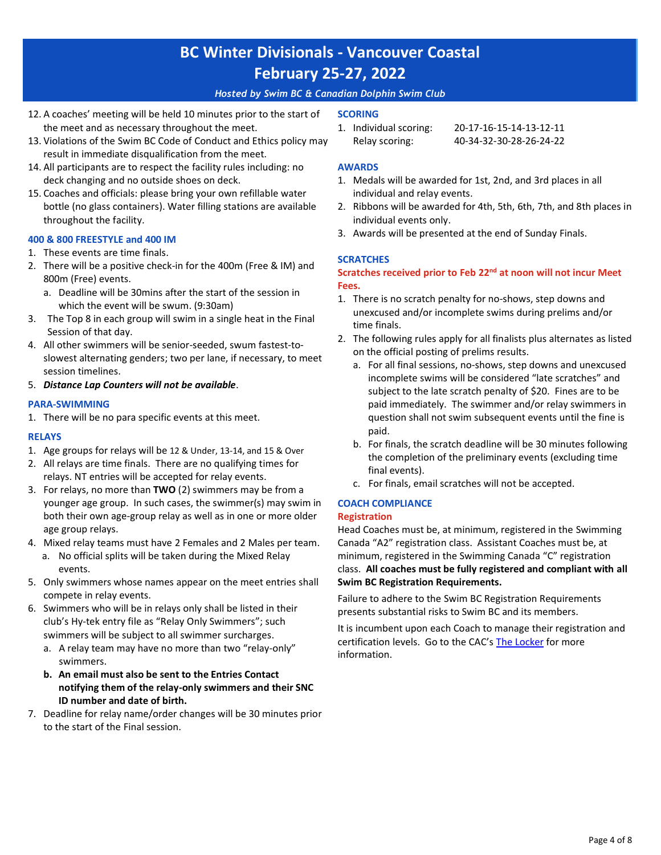#### *Hosted by Swim BC & Canadian Dolphin Swim Club*

- 12. A coaches' meeting will be held 10 minutes prior to the start of the meet and as necessary throughout the meet.
- 13. Violations of the Swim BC Code of Conduct and Ethics policy may result in immediate disqualification from the meet.
- 14. All participants are to respect the facility rules including: no deck changing and no outside shoes on deck.
- 15. Coaches and officials: please bring your own refillable water bottle (no glass containers). Water filling stations are available throughout the facility.

#### **400 & 800 FREESTYLE and 400 IM**

- 1. These events are time finals.
- 2. There will be a positive check-in for the 400m (Free & IM) and 800m (Free) events.
	- a. Deadline will be 30mins after the start of the session in which the event will be swum. (9:30am)
- 3. The Top 8 in each group will swim in a single heat in the Final Session of that day.
- 4. All other swimmers will be senior-seeded, swum fastest-toslowest alternating genders; two per lane, if necessary, to meet session timelines.
- 5. *Distance Lap Counters will not be available*.

#### **PARA-SWIMMING**

1. There will be no para specific events at this meet.

#### **RELAYS**

- 1. Age groups for relays will be 12 & Under, 13-14, and 15 & Over
- 2. All relays are time finals. There are no qualifying times for relays. NT entries will be accepted for relay events.
- 3. For relays, no more than **TWO** (2) swimmers may be from a younger age group. In such cases, the swimmer(s) may swim in both their own age-group relay as well as in one or more older age group relays.
- 4. Mixed relay teams must have 2 Females and 2 Males per team.
	- a. No official splits will be taken during the Mixed Relay events.
- 5. Only swimmers whose names appear on the meet entries shall compete in relay events.
- 6. Swimmers who will be in relays only shall be listed in their club's Hy-tek entry file as "Relay Only Swimmers"; such swimmers will be subject to all swimmer surcharges.
	- a. A relay team may have no more than two "relay-only" swimmers.
	- **b. An email must also be sent to the Entries Contact notifying them of the relay-only swimmers and their SNC ID number and date of birth.**
- 7. Deadline for relay name/order changes will be 30 minutes prior to the start of the Final session.

#### **SCORING**

1. Individual scoring: 20-17-16-15-14-13-12-11 Relay scoring: 40-34-32-30-28-26-24-22

#### **AWARDS**

- 1. Medals will be awarded for 1st, 2nd, and 3rd places in all individual and relay events.
- 2. Ribbons will be awarded for 4th, 5th, 6th, 7th, and 8th places in individual events only.
- 3. Awards will be presented at the end of Sunday Finals.

#### **SCRATCHES**

#### **Scratches received prior to Feb 22nd at noon will not incur Meet Fees.**

- 1. There is no scratch penalty for no-shows, step downs and unexcused and/or incomplete swims during prelims and/or time finals.
- 2. The following rules apply for all finalists plus alternates as listed on the official posting of prelims results.
	- a. For all final sessions, no-shows, step downs and unexcused incomplete swims will be considered "late scratches" and subject to the late scratch penalty of \$20. Fines are to be paid immediately. The swimmer and/or relay swimmers in question shall not swim subsequent events until the fine is paid.
	- b. For finals, the scratch deadline will be 30 minutes following the completion of the preliminary events (excluding time final events).
	- c. For finals, email scratches will not be accepted.

### **COACH COMPLIANCE**

#### **Registration**

Head Coaches must be, at minimum, registered in the Swimming Canada "A2" registration class. Assistant Coaches must be, at minimum, registered in the Swimming Canada "C" registration class. **All coaches must be fully registered and compliant with all Swim BC Registration Requirements.**

Failure to adhere to the Swim BC Registration Requirements presents substantial risks to Swim BC and its members.

It is incumbent upon each Coach to manage their registration and certification levels. Go to the CAC's [The Locker](https://thelocker.coach.ca/account/login?mode=login) for more information.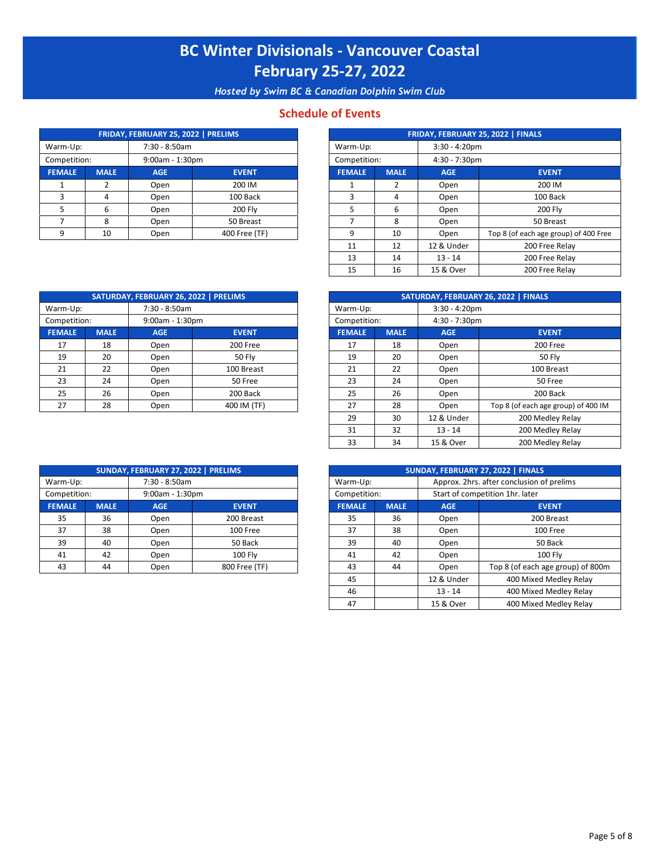*Hosted by Swim BC & Canadian Dolphin Swim Club*

#### **Schedule of Events**

|               |             | FRIDAY, FEBRUARY 25, 2022   PRELIMS |                |               |             |                  | FRIDAY, FEBRUARY 25, 2022   FINALS |
|---------------|-------------|-------------------------------------|----------------|---------------|-------------|------------------|------------------------------------|
| Warm-Up:      |             | 7:30 - 8:50am                       |                | Warm-Up:      |             | $3:30 - 4:20$ pm |                                    |
| Competition:  |             | $9:00am - 1:30pm$                   |                | Competition:  |             | $4:30 - 7:30$ pm |                                    |
| <b>FEMALE</b> | <b>MALE</b> | <b>AGE</b>                          | <b>EVENT</b>   | <b>FEMALE</b> | <b>MALE</b> | <b>AGE</b>       | <b>EVENT</b>                       |
|               |             | Open                                | 200 IM         |               |             | Open             | 200 IM                             |
|               | 4           | Open                                | 100 Back       |               | 4           | Open             | 100 Bac                            |
|               | 6           | Open                                | <b>200 Flv</b> |               | h           | Open             | 200 Fly                            |
|               | 8           | Open                                | 50 Breast      |               |             | Open             | 50 Breas                           |
|               | 10          | Open                                | 400 Free (TF)  | $\Omega$      | 10          | Open             | Top 8 (of each age gro             |

|                        |             | FRIDAY, FEBRUARY 25, 2022   PRELIMS |               |               |             |                  | <b>FRIDAY, FEBRUARY 25, 2022   FINALS</b> |  |
|------------------------|-------------|-------------------------------------|---------------|---------------|-------------|------------------|-------------------------------------------|--|
| 7:30 - 8:50am<br>m-Up: |             |                                     |               | Warm-Up:      |             | $3:30 - 4:20$ pm |                                           |  |
| petition:              |             | $9:00am - 1:30pm$                   |               | Competition:  |             | $4:30 - 7:30$ pm |                                           |  |
| <b>AALE</b>            | <b>MALE</b> | <b>AGE</b>                          | <b>EVENT</b>  | <b>FEMALE</b> | <b>MALE</b> | <b>AGE</b>       | <b>EVENT</b>                              |  |
|                        |             | Open                                | 200 IM        |               | 2           | Open             | 200 IM                                    |  |
|                        | 4           | Open                                | 100 Back      | 3             | 4           | Open             | 100 Back                                  |  |
|                        | 6           | Open                                | 200 Fly       | -5            | 6           | Open             | <b>200 Fly</b>                            |  |
|                        | 8           | Open                                | 50 Breast     |               | 8           | Open             | 50 Breast                                 |  |
| ٩                      | 10          | Open                                | 400 Free (TF) | q             | 10          | Open             | Top 8 (of each age group) of 400 Free     |  |
|                        |             |                                     |               | 11            | 12          | 12 & Under       | 200 Free Relay                            |  |
|                        |             |                                     |               | 13            | 14          | $13 - 14$        | 200 Free Relay                            |  |
|                        |             |                                     |               | 15            | 16          | 15 & Over        | 200 Free Relay                            |  |

| SATURDAY, FEBRUARY 26, 2022   PRELIMS |             |                   |               |               |             |               | SATURDAY, FEBRUARY 26, 2022   FINALS |                  |  |
|---------------------------------------|-------------|-------------------|---------------|---------------|-------------|---------------|--------------------------------------|------------------|--|
| Warm-Up:                              |             | 7:30 - 8:50am     |               |               |             | Warm-Up:      |                                      | $3:30 - 4:20$ pm |  |
| Competition:                          |             | $9:00am - 1:30pm$ |               | Competition:  |             | 4:30 - 7:30pm |                                      |                  |  |
| <b>FEMALE</b>                         | <b>MALE</b> | <b>AGE</b>        | <b>EVENT</b>  | <b>FEMALE</b> | <b>MALE</b> | <b>AGE</b>    | <b>EVENT</b>                         |                  |  |
| 17                                    | 18          | Open              | 200 Free      | 17            | 18          | Open          | 200 Free                             |                  |  |
| 19                                    | 20          | Open              | <b>50 Fly</b> | 19            | 20          | Open          | <b>50 Fly</b>                        |                  |  |
| 21                                    | 22          | Open              | 100 Breast    | 21            | 22          | Open          | 100 Breast                           |                  |  |
| 23                                    | 24          | Open              | 50 Free       | 23            | 24          | Open          | 50 Free                              |                  |  |
| 25                                    | 26          | Open              | 200 Back      | 25            | 26          | Open          | 200 Back                             |                  |  |
| 27                                    | 28          | Open              | 400 IM (TF)   | 27            | 28          | Open          | Top 8 (of each age grou              |                  |  |

|                         |             | SATURDAY, FEBRUARY 26, 2022   PRELIMS |               |               |             |                  | SATURDAY, FEBRUARY 26, 2022   FINALS |  |
|-------------------------|-------------|---------------------------------------|---------------|---------------|-------------|------------------|--------------------------------------|--|
| 7:30 - 8:50am<br>rm-Up: |             |                                       |               | Warm-Up:      |             | $3:30 - 4:20$ pm |                                      |  |
| npetition:              |             | $9:00am - 1:30pm$                     |               | Competition:  |             | $4:30 - 7:30$ pm |                                      |  |
| <b>MALE</b>             | <b>MALE</b> | <b>AGE</b>                            | <b>EVENT</b>  | <b>FEMALE</b> | <b>MALE</b> | <b>AGE</b>       | <b>EVENT</b>                         |  |
| 17                      | 18          | Open                                  | 200 Free      | 17            | 18          | Open             | 200 Free                             |  |
| 19                      | 20          | Open                                  | <b>50 Fly</b> | 19            | 20          | Open             | <b>50 Fly</b>                        |  |
| 21                      | 22          | Open                                  | 100 Breast    | 21            | 22          | Open             | 100 Breast                           |  |
| 23                      | 24          | Open                                  | 50 Free       | 23            | 24          | Open             | 50 Free                              |  |
| 25                      | 26          | Open                                  | 200 Back      | 25            | 26          | Open             | 200 Back                             |  |
| 27                      | 28          | Open                                  | 400 IM (TF)   | 27            | 28          | Open             | Top 8 (of each age group) of 400 IM  |  |
|                         |             |                                       |               | 29            | 30          | 12 & Under       | 200 Medley Relay                     |  |
|                         |             |                                       |               | 31            | 32          | $13 - 14$        | 200 Medley Relay                     |  |
|                         |             |                                       |               | 33            | 34          | 15 & Over        | 200 Medley Relay                     |  |

|                         |             | SUNDAY, FEBRUARY 27, 2022   PRELIMS |                |               |             |                                           | SUNDAY, FEBRUARY 27, 2022   FINALS |  |
|-------------------------|-------------|-------------------------------------|----------------|---------------|-------------|-------------------------------------------|------------------------------------|--|
| 7:30 - 8:50am<br>rm-Up: |             |                                     |                | Warm-Up:      |             | Approx. 2hrs. after conclusion of prelims |                                    |  |
| npetition:              |             | $9:00$ am - 1:30pm                  |                | Competition:  |             | Start of competition 1hr. later           |                                    |  |
| <b>MALE</b>             | <b>MALE</b> | <b>AGE</b>                          | <b>EVENT</b>   | <b>FEMALE</b> | <b>MALE</b> | <b>AGE</b>                                | <b>EVENT</b>                       |  |
| 35                      | 36          | Open                                | 200 Breast     | 35            | 36          | Open                                      | 200 Breast                         |  |
| 37                      | 38          | Open                                | 100 Free       | 37            | 38          | Open                                      | 100 Free                           |  |
| 39                      | 40          | Open                                | 50 Back        | 39            | 40          | Open                                      | 50 Back                            |  |
| 41                      | 42          | Open                                | <b>100 Flv</b> | 41            | 42          | Open                                      | <b>100 Fly</b>                     |  |
| 43                      | 44          | Open                                | 800 Free (TF)  | 43            | 44          | Open                                      | Top 8 (of each age group) of 800m  |  |
|                         |             |                                     |                | 45            |             | 12 & Under                                | 400 Mixed Medley Relay             |  |
|                         |             |                                     |                | 46            |             | $13 - 14$                                 | 400 Mixed Medley Relay             |  |
|                         |             |                                     |                | 47            |             | 15 & Over                                 | 400 Mixed Medley Relay             |  |

| SUNDAY, FEBRUARY 27, 2022   PRELIMS |                    |               |                |              |               |             |                                           | SUNDAY, FEBRUARY 27, 2022   FINALS |  |
|-------------------------------------|--------------------|---------------|----------------|--------------|---------------|-------------|-------------------------------------------|------------------------------------|--|
| Warm-Up:                            |                    | 7:30 - 8:50am |                |              | Warm-Up:      |             | Approx. 2hrs. after conclusion of prelims |                                    |  |
| Competition:                        | $9:00$ am - 1:30pm |               |                | Competition: |               |             | Start of competition 1hr. later           |                                    |  |
| <b>FEMALE</b>                       | <b>MALE</b>        | <b>AGE</b>    | <b>EVENT</b>   |              | <b>FEMALE</b> | <b>MALE</b> | <b>AGE</b>                                | <b>EVENT</b>                       |  |
| 35                                  | 36                 | Open          | 200 Breast     |              | 35            | 36          | Open                                      | 200 Breast                         |  |
| 37                                  | 38                 | Open          | 100 Free       |              | 37            | 38          | Open                                      | 100 Free                           |  |
| 39                                  | 40                 | Open          | 50 Back        |              | 39            | 40          | Open                                      | 50 Back                            |  |
| 41                                  | 42                 | Open          | <b>100 Fly</b> |              | 41            | 42          | Open                                      | 100 Fly                            |  |
| 43                                  | 44                 | Open          | 800 Free (TF)  |              | 43            | 44          | Open                                      | Top 8 (of each age group           |  |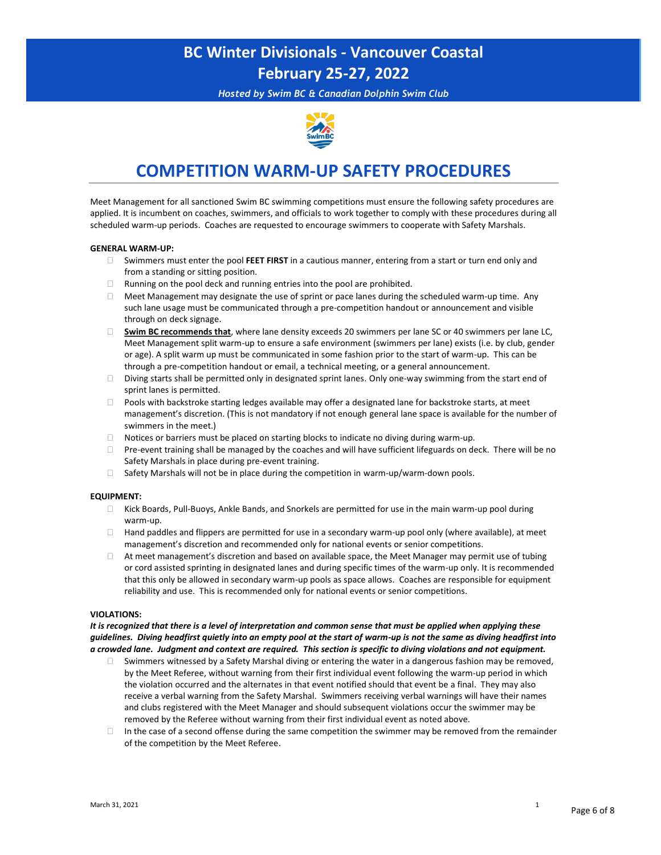*Hosted by Swim BC & Canadian Dolphin Swim Club*



### **COMPETITION WARM-UP SAFETY PROCEDURES**

Meet Management for all sanctioned Swim BC swimming competitions must ensure the following safety procedures are applied. It is incumbent on coaches, swimmers, and officials to work together to comply with these procedures during all scheduled warm-up periods. Coaches are requested to encourage swimmers to cooperate with Safety Marshals.

#### **GENERAL WARM-UP:**

- Swimmers must enter the pool **FEET FIRST** in a cautious manner, entering from a start or turn end only and from a standing or sitting position.
- $\Box$  Running on the pool deck and running entries into the pool are prohibited.
- Meet Management may designate the use of sprint or pace lanes during the scheduled warm-up time. Any such lane usage must be communicated through a pre-competition handout or announcement and visible through on deck signage.
- **Swim BC recommends that**, where lane density exceeds 20 swimmers per lane SC or 40 swimmers per lane LC, Meet Management split warm-up to ensure a safe environment (swimmers per lane) exists (i.e. by club, gender or age). A split warm up must be communicated in some fashion prior to the start of warm-up. This can be through a pre-competition handout or email, a technical meeting, or a general announcement.
- $\square$  Diving starts shall be permitted only in designated sprint lanes. Only one-way swimming from the start end of sprint lanes is permitted.
- $\Box$  Pools with backstroke starting ledges available may offer a designated lane for backstroke starts, at meet management'<sup>s</sup> discretion. (This is not mandatory if not enough general lane space is available for the number of swimmers in the meet.)
- $\Box$  Notices or barriers must be placed on starting blocks to indicate no diving during warm-up.
- Pre-event training shall be managed by the coaches and will have sufficient lifeguards on deck. There will be no Safety Marshals in place during pre-event training.
- $\Box$  Safety Marshals will not be in place during the competition in warm-up/warm-down pools.

#### **EQUIPMENT:**

- Kick Boards, Pull-Buoys, Ankle Bands, and Snorkels are permitted for use in the main warm-up pool during warm-up.
- $\Box$  Hand paddles and flippers are permitted for use in a secondary warm-up pool only (where available), at meet management'<sup>s</sup> discretion and recommended only for national events or senior competitions.
- $\Box$  At meet management's discretion and based on available space, the Meet Manager may permit use of tubing or cord assisted sprinting in designated lanes and during specific times of the warm-up only. It is recommended that this only be allowed in secondary warm-up pools as space allows. Coaches are responsible for equipment reliability and use. This is recommended only for national events or senior competitions.

#### **VIOLATIONS:**

*It is recognized that there is a level of interpretation and common sense that must be applied when applying these guidelines. Diving headfirst quietly into an empty pool at the start of warm-up is not the same as diving headfirst into a crowded lane. Judgment and context are required. This section is specific to diving violations and not equipment.*

- $\Box$  Swimmers witnessed by a Safety Marshal diving or entering the water in a dangerous fashion may be removed, by the Meet Referee, without warning from their first individual event following the warm-up period in which the violation occurred and the alternates in that event notified should that event be a final. They may also receive a verbal warning from the Safety Marshal. Swimmers receiving verbal warnings will have their names and clubs registered with the Meet Manager and should subsequent violations occur the swimmer may be removed by the Referee without warning from their first individual event as noted above.
- $\Box$  In the case of a second offense during the same competition the swimmer may be removed from the remainder of the competition by the Meet Referee.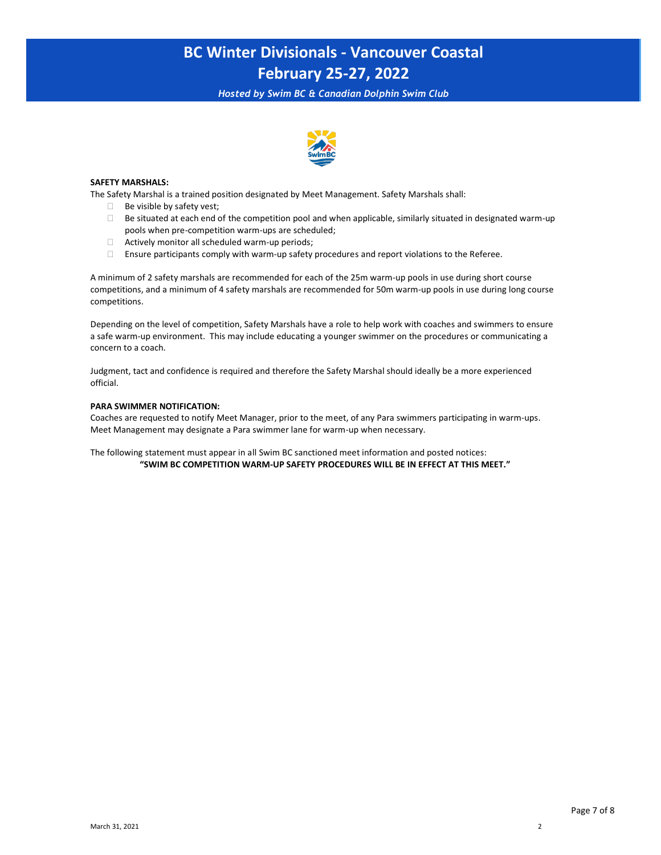*Hosted by Swim BC & Canadian Dolphin Swim Club*



#### **SAFETY MARSHALS:**

The Safety Marshal is a trained position designated by Meet Management. Safety Marshals shall:

- $\Box$  Be visible by safety vest;
- $\square$  Be situated at each end of the competition pool and when applicable, similarly situated in designated warm-up pools when pre-competition warm-ups are scheduled;
- $\Box$  Actively monitor all scheduled warm-up periods;
- Ensure participants comply with warm-up safety procedures and report violations to the Referee.

A minimum of 2 safety marshals are recommended for each of the 25m warm-up pools in use during short course competitions, and a minimum of 4 safety marshals are recommended for 50m warm-up pools in use during long course competitions.

Depending on the level of competition, Safety Marshals have a role to help work with coaches and swimmers to ensure a safe warm-up environment. This may include educating a younger swimmer on the procedures or communicating a concern to a coach.

Judgment, tact and confidence is required and therefore the Safety Marshal should ideally be a more experienced official.

#### **PARA SWIMMER NOTIFICATION:**

Coaches are requested to notify Meet Manager, prior to the meet, of any Para swimmers participating in warm-ups. Meet Management may designate a Para swimmer lane for warm-up when necessary.

The following statement must appear in all Swim BC sanctioned meet information and posted notices: **"SWIM BC COMPETITION WARM-UP SAFETY PROCEDURES WILL BE IN EFFECT AT THIS MEET."**